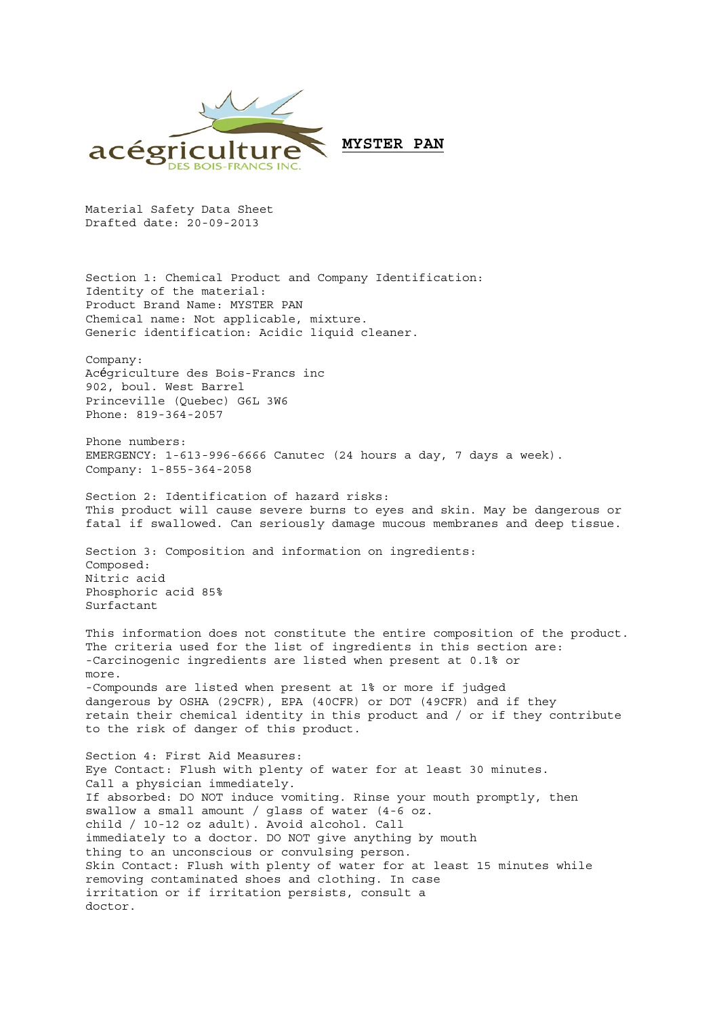

Material Safety Data Sheet Drafted date: 20-09-2013

Section 1: Chemical Product and Company Identification: Identity of the material: Product Brand Name: MYSTER PAN Chemical name: Not applicable, mixture. Generic identification: Acidic liquid cleaner.

Company: Acégriculture des Bois-Francs inc 902, boul. West Barrel Princeville (Quebec) G6L 3W6 Phone: 819-364-2057

Phone numbers: EMERGENCY: 1-613-996-6666 Canutec (24 hours a day, 7 days a week). Company: 1-855-364-2058

Section 2: Identification of hazard risks: This product will cause severe burns to eyes and skin. May be dangerous or fatal if swallowed. Can seriously damage mucous membranes and deep tissue.

Section 3: Composition and information on ingredients: Composed: Nitric acid Phosphoric acid 85% Surfactant

This information does not constitute the entire composition of the product. The criteria used for the list of ingredients in this section are: -Carcinogenic ingredients are listed when present at 0.1% or more. -Compounds are listed when present at 1% or more if judged dangerous by OSHA (29CFR), EPA (40CFR) or DOT (49CFR) and if they retain their chemical identity in this product and / or if they contribute to the risk of danger of this product.

Section 4: First Aid Measures: Eye Contact: Flush with plenty of water for at least 30 minutes. Call a physician immediately. If absorbed: DO NOT induce vomiting. Rinse your mouth promptly, then swallow a small amount / glass of water (4-6 oz. child / 10-12 oz adult). Avoid alcohol. Call immediately to a doctor. DO NOT give anything by mouth thing to an unconscious or convulsing person. Skin Contact: Flush with plenty of water for at least 15 minutes while removing contaminated shoes and clothing. In case irritation or if irritation persists, consult a doctor.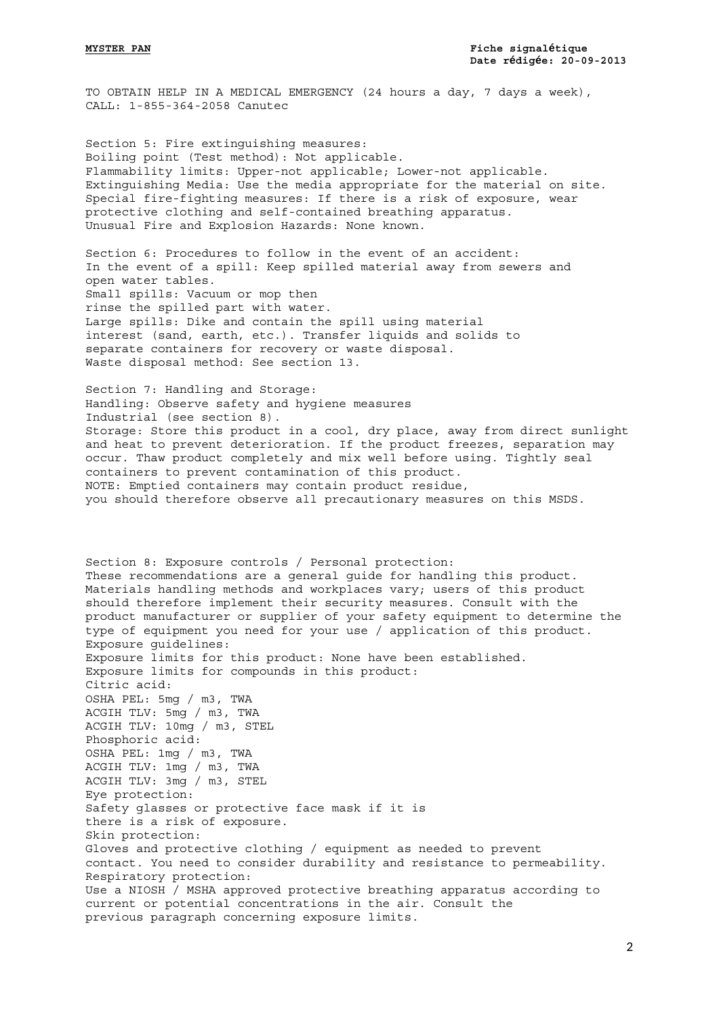TO OBTAIN HELP IN A MEDICAL EMERGENCY (24 hours a day, 7 days a week), CALL: 1-855-364-2058 Canutec

Section 5: Fire extinguishing measures: Boiling point (Test method): Not applicable. Flammability limits: Upper-not applicable; Lower-not applicable. Extinguishing Media: Use the media appropriate for the material on site. Special fire-fighting measures: If there is a risk of exposure, wear protective clothing and self-contained breathing apparatus. Unusual Fire and Explosion Hazards: None known.

Section 6: Procedures to follow in the event of an accident: In the event of a spill: Keep spilled material away from sewers and open water tables. Small spills: Vacuum or mop then rinse the spilled part with water. Large spills: Dike and contain the spill using material interest (sand, earth, etc.). Transfer liquids and solids to separate containers for recovery or waste disposal. Waste disposal method: See section 13.

Section 7: Handling and Storage: Handling: Observe safety and hygiene measures Industrial (see section 8). Storage: Store this product in a cool, dry place, away from direct sunlight and heat to prevent deterioration. If the product freezes, separation may occur. Thaw product completely and mix well before using. Tightly seal containers to prevent contamination of this product. NOTE: Emptied containers may contain product residue, you should therefore observe all precautionary measures on this MSDS.

Section 8: Exposure controls / Personal protection: These recommendations are a general guide for handling this product. Materials handling methods and workplaces vary; users of this product should therefore implement their security measures. Consult with the product manufacturer or supplier of your safety equipment to determine the type of equipment you need for your use / application of this product. Exposure guidelines: Exposure limits for this product: None have been established. Exposure limits for compounds in this product: Citric acid: OSHA PEL: 5mg / m3, TWA ACGIH TLV: 5mg / m3, TWA ACGIH TLV: 10mg / m3, STEL Phosphoric acid: OSHA PEL: 1mg / m3, TWA ACGIH TLV: 1mg / m3, TWA ACGIH TLV: 3mg / m3, STEL Eye protection: Safety glasses or protective face mask if it is there is a risk of exposure. Skin protection: Gloves and protective clothing / equipment as needed to prevent contact. You need to consider durability and resistance to permeability. Respiratory protection: Use a NIOSH / MSHA approved protective breathing apparatus according to current or potential concentrations in the air. Consult the previous paragraph concerning exposure limits.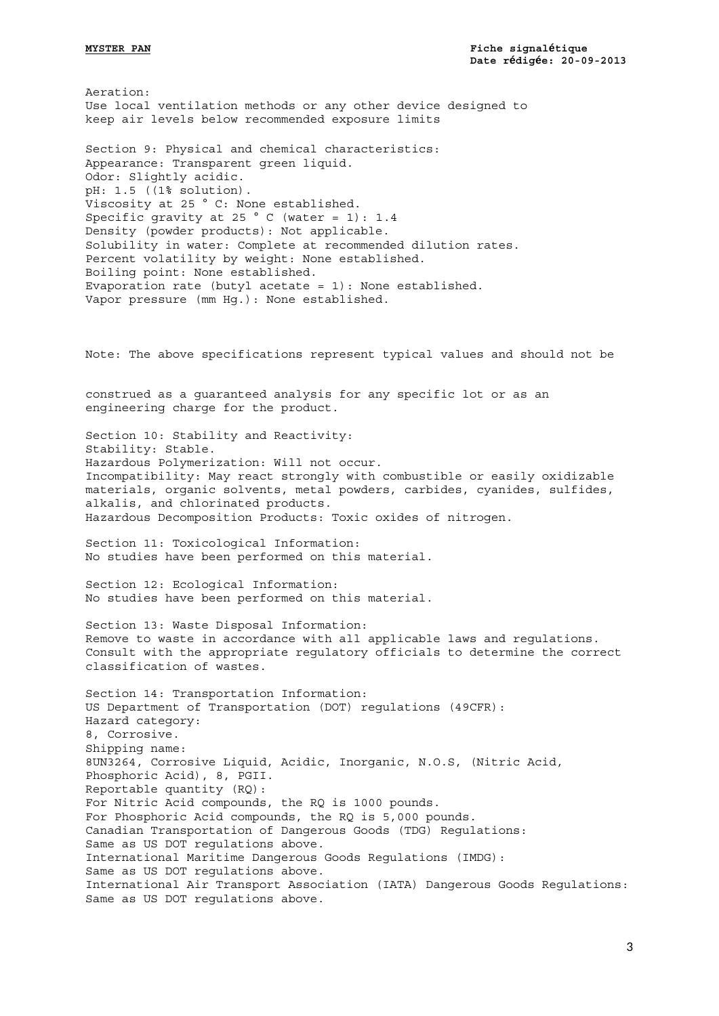Aeration: Use local ventilation methods or any other device designed to keep air levels below recommended exposure limits

Section 9: Physical and chemical characteristics: Appearance: Transparent green liquid. Odor: Slightly acidic. pH: 1.5 ((1% solution). Viscosity at 25 ° C: None established. Specific gravity at 25  $^{\circ}$  C (water = 1): 1.4 Density (powder products): Not applicable. Solubility in water: Complete at recommended dilution rates. Percent volatility by weight: None established. Boiling point: None established. Evaporation rate (butyl acetate = 1): None established. Vapor pressure (mm Hg.): None established.

construed as a guaranteed analysis for any specific lot or as an engineering charge for the product.

Note: The above specifications represent typical values and should not be

Section 10: Stability and Reactivity: Stability: Stable. Hazardous Polymerization: Will not occur. Incompatibility: May react strongly with combustible or easily oxidizable materials, organic solvents, metal powders, carbides, cyanides, sulfides, alkalis, and chlorinated products. Hazardous Decomposition Products: Toxic oxides of nitrogen.

Section 11: Toxicological Information: No studies have been performed on this material.

Section 12: Ecological Information: No studies have been performed on this material.

Section 13: Waste Disposal Information: Remove to waste in accordance with all applicable laws and regulations. Consult with the appropriate regulatory officials to determine the correct classification of wastes.

Section 14: Transportation Information: US Department of Transportation (DOT) regulations (49CFR): Hazard category: 8, Corrosive. Shipping name: 8UN3264, Corrosive Liquid, Acidic, Inorganic, N.O.S, (Nitric Acid, Phosphoric Acid), 8, PGII. Reportable quantity (RQ): For Nitric Acid compounds, the RQ is 1000 pounds. For Phosphoric Acid compounds, the RQ is 5,000 pounds. Canadian Transportation of Dangerous Goods (TDG) Regulations: Same as US DOT regulations above. International Maritime Dangerous Goods Regulations (IMDG): Same as US DOT regulations above. International Air Transport Association (IATA) Dangerous Goods Regulations: Same as US DOT regulations above.